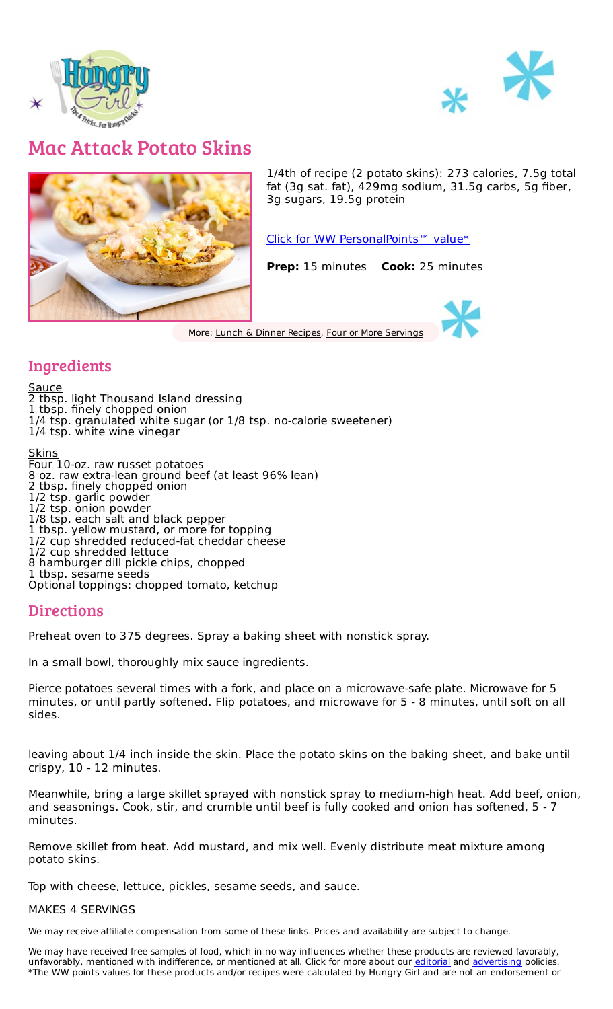



## Mac Attack Potato Skins



1/4th of recipe (2 potato skins): 273 calories, 7.5g total fat (3g sat. fat), 429mg sodium, 31.5g carbs, 5g fiber, 3g sugars, 19.5g protein

Click for WW [PersonalPoints™](https://cmx.weightwatchers.com/details/MEMBERRECIPE:628bd0f68e5621667c2a888e) value\*

**Prep:** 15 minutes **Cook:** 25 minutes

More: Lunch & Dinner [Recipes](file:///recipes/categories/lunch-dinner-recipes), Four or More [Servings](file:///recipes/tags/four-or-more-servings)

## Ingredients

<u>Sauce</u> 2 tbsp. light Thousand Island dressing 1 tbsp. finely chopped onion 1/4 tsp. granulated white sugar (or 1/8 tsp. no-calorie sweetener) 1/4 tsp. white wine vinegar Skins Four 10-oz. raw russet potatoes 8 oz. raw extra-lean ground beef (at least 96% lean) 2 tbsp. finely chopped onion 1/2 tsp. garlic powder 1/2 tsp. onion powder 1/8 tsp. each salt and black pepper 1 tbsp. yellow mustard, or more for topping 1/2 cup shredded reduced-fat cheddar cheese 1/2 cup shredded lettuce 8 hamburger dill pickle chips, chopped 1 tbsp. sesame seeds Optional toppings: chopped tomato, ketchup

## **Directions**

Preheat oven to 375 degrees. Spray a baking sheet with nonstick spray.

In a small bowl, thoroughly mix sauce ingredients.

Pierce potatoes several times with a fork, and place on a microwave-safe plate. Microwave for 5 minutes, or until partly softened. Flip potatoes, and microwave for 5 - 8 minutes, until soft on all sides.

leaving about 1/4 inch inside the skin. Place the potato skins on the baking sheet, and bake until crispy, 10 - 12 minutes.

Meanwhile, bring a large skillet sprayed with nonstick spray to medium-high heat. Add beef, onion, and seasonings. Cook, stir, and crumble until beef is fully cooked and onion has softened, 5 - 7 minutes.

Remove skillet from heat. Add mustard, and mix well. Evenly distribute meat mixture among potato skins.

Top with cheese, lettuce, pickles, sesame seeds, and sauce.

## MAKES 4 SERVINGS

We may receive affiliate compensation from some of these links. Prices and availability are subject to change.

We may have received free samples of food, which in no way influences whether these products are reviewed favorably, unfavorably, mentioned with indifference, or mentioned at all. Click for more about our [editorial](https://www.hungry-girl.com/editorial-policy) and [advertising](https://www.hungry-girl.com/advertising-information) policies. \*The WW points values for these products and/or recipes were calculated by Hungry Girl and are not an endorsement or